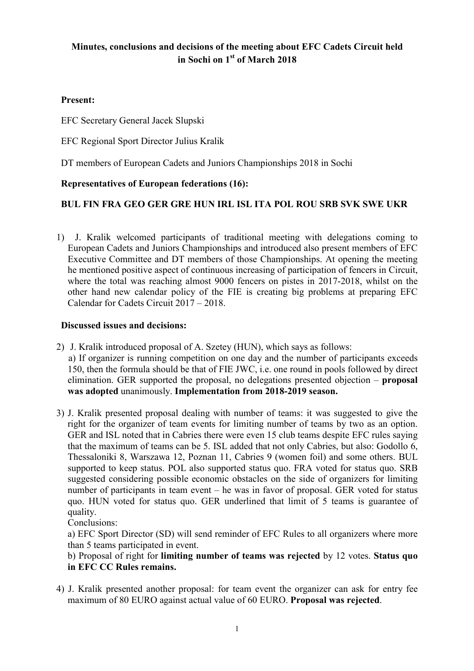# Minutes, conclusions and decisions of the meeting about EFC Cadets Circuit held in Sochi on 1st of March 2018

# Present:

EFC Secretary General Jacek Slupski

EFC Regional Sport Director Julius Kralik

DT members of European Cadets and Juniors Championships 2018 in Sochi

## Representatives of European federations (16):

## BUL FIN FRA GEO GER GRE HUN IRL ISL ITA POL ROU SRB SVK SWE UKR

1) J. Kralik welcomed participants of traditional meeting with delegations coming to European Cadets and Juniors Championships and introduced also present members of EFC Executive Committee and DT members of those Championships. At opening the meeting he mentioned positive aspect of continuous increasing of participation of fencers in Circuit, where the total was reaching almost 9000 fencers on pistes in 2017-2018, whilst on the other hand new calendar policy of the FIE is creating big problems at preparing EFC Calendar for Cadets Circuit 2017 – 2018.

## Discussed issues and decisions:

- 2) J. Kralik introduced proposal of A. Szetey (HUN), which says as follows: a) If organizer is running competition on one day and the number of participants exceeds 150, then the formula should be that of FIE JWC, i.e. one round in pools followed by direct elimination. GER supported the proposal, no delegations presented objection – proposal was adopted unanimously. Implementation from 2018-2019 season.
- 3) J. Kralik presented proposal dealing with number of teams: it was suggested to give the right for the organizer of team events for limiting number of teams by two as an option. GER and ISL noted that in Cabries there were even 15 club teams despite EFC rules saying that the maximum of teams can be 5. ISL added that not only Cabries, but also: Godollo 6, Thessaloniki 8, Warszawa 12, Poznan 11, Cabries 9 (women foil) and some others. BUL supported to keep status. POL also supported status quo. FRA voted for status quo. SRB suggested considering possible economic obstacles on the side of organizers for limiting number of participants in team event – he was in favor of proposal. GER voted for status quo. HUN voted for status quo. GER underlined that limit of 5 teams is guarantee of quality.

Conclusions:

 a) EFC Sport Director (SD) will send reminder of EFC Rules to all organizers where more than 5 teams participated in event.

## b) Proposal of right for limiting number of teams was rejected by 12 votes. Status quo in EFC CC Rules remains.

4) J. Kralik presented another proposal: for team event the organizer can ask for entry fee maximum of 80 EURO against actual value of 60 EURO. Proposal was rejected.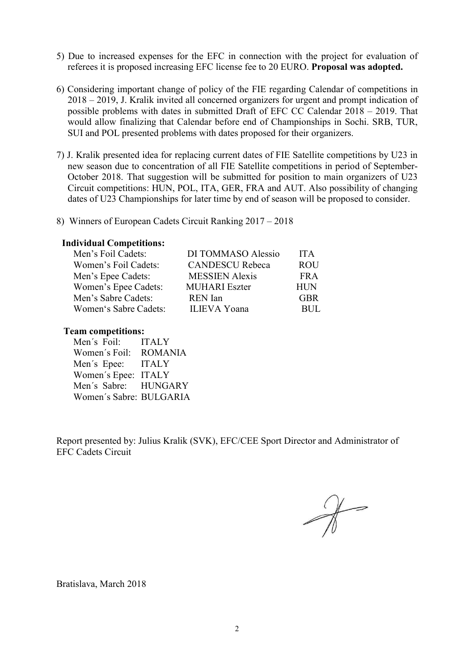- 5) Due to increased expenses for the EFC in connection with the project for evaluation of referees it is proposed increasing EFC license fee to 20 EURO. Proposal was adopted.
- 6) Considering important change of policy of the FIE regarding Calendar of competitions in 2018 – 2019, J. Kralik invited all concerned organizers for urgent and prompt indication of possible problems with dates in submitted Draft of EFC CC Calendar 2018 – 2019. That would allow finalizing that Calendar before end of Championships in Sochi. SRB, TUR, SUI and POL presented problems with dates proposed for their organizers.
- 7) J. Kralik presented idea for replacing current dates of FIE Satellite competitions by U23 in new season due to concentration of all FIE Satellite competitions in period of September-October 2018. That suggestion will be submitted for position to main organizers of U23 Circuit competitions: HUN, POL, ITA, GER, FRA and AUT. Also possibility of changing dates of U23 Championships for later time by end of season will be proposed to consider.
- 8) Winners of European Cadets Circuit Ranking 2017 2018

## Individual Competitions:

| Men's Foil Cadets:    | DI TOMMASO Alessio     | <b>ITA</b> |
|-----------------------|------------------------|------------|
| Women's Foil Cadets:  | <b>CANDESCU Rebeca</b> | <b>ROU</b> |
| Men's Epee Cadets:    | <b>MESSIEN Alexis</b>  | FR A       |
| Women's Epee Cadets:  | <b>MUHARI</b> Eszter   | <b>HUN</b> |
| Men's Sabre Cadets:   | <b>REN</b> Ian         | <b>GBR</b> |
| Women's Sabre Cadets: | <b>ILIEVA</b> Yoana    | RUL.       |

### Team competitions:

Men´s Foil: ITALY Women´s Foil: ROMANIA Men´s Epee: ITALY Women´s Epee: ITALY Men´s Sabre: HUNGARY Women´s Sabre: BULGARIA

Report presented by: Julius Kralik (SVK), EFC/CEE Sport Director and Administrator of EFC Cadets Circuit

 $\mathcal{X}$ 

Bratislava, March 2018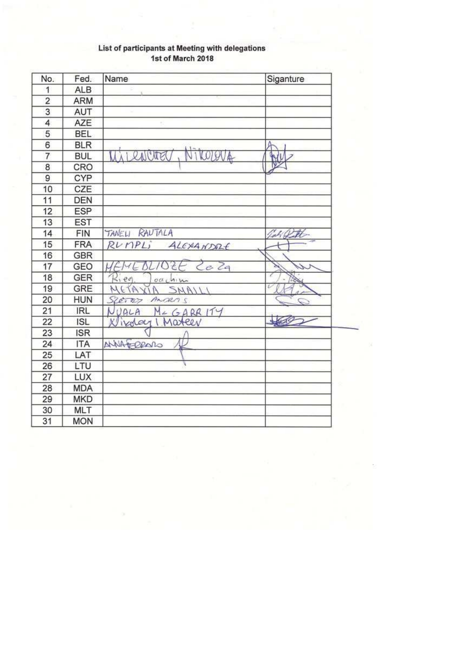| No.             | Fed.       | Name                       | Siganture    |
|-----------------|------------|----------------------------|--------------|
| 1               | <b>ALB</b> |                            |              |
| $\overline{2}$  | ARM        |                            |              |
|                 | AUT        |                            |              |
| 4               | <b>AZE</b> |                            |              |
| 5               | <b>BEL</b> |                            |              |
| $\overline{6}$  | <b>BLR</b> |                            | А            |
| 7               | <b>BUL</b> | Nikobev4<br>UAI RAIGHTELL  | W            |
| 8               | CRO        |                            |              |
| $\overline{9}$  | CYP        |                            |              |
| 10              | CZE        |                            |              |
| 11              | DEN        |                            |              |
| 12              | ESP        |                            |              |
| 13              | <b>EST</b> |                            |              |
| 14              | <b>FIN</b> | TANELL RAUTALA             | CAO H        |
| 15              | <b>FRA</b> | R <i>UMPL</i><br>ALEXANDRE |              |
| 16              | <b>GBR</b> |                            |              |
| 17              | GEO        | WEMEBLIOZE Ceza            |              |
| 18              | GER        | 2.00<br>0010M/m            |              |
| 19              | GRE        | META<br>SMAILI<br>N        | ī            |
| 20              | <b>HUN</b> | <b>SZETED</b><br>Ansens    |              |
| 21              | <b>IRL</b> | NUALA<br>$M + GARR1T4$     |              |
| $\overline{22}$ | <b>ISL</b> | Kligday I Mateev           | <b>Lings</b> |
| 23              | <b>ISR</b> |                            |              |
| 24              | <b>ITA</b> | NIA PRODO                  |              |
| 25              | LAT        |                            |              |
| 26              | LTU        |                            |              |
| 27              | LUX        |                            |              |
| 28              | <b>MDA</b> |                            |              |
| 29              | <b>MKD</b> |                            |              |
| 30              | <b>MLT</b> |                            |              |
| 31              | <b>MON</b> |                            |              |

#### List of participants at Meeting with delegations 1st of March 2018